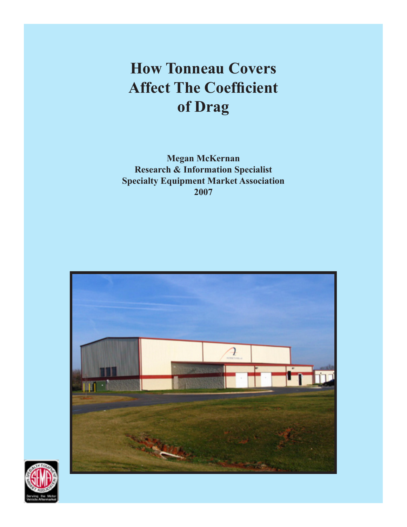# **How Tonneau Covers Affect The Coefficient of Drag**

**Megan McKernan Research & Information Specialist Specialty Equipment Market Association 2007**



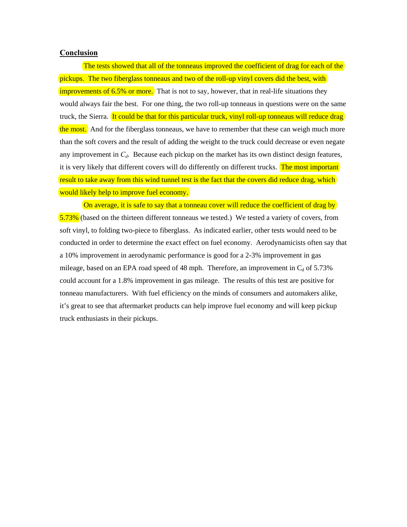#### **Conclusion**

The tests showed that all of the tonneaus improved the coefficient of drag for each of the pickups. The two fiberglass tonneaus and two of the roll-up vinyl covers did the best, with improvements of 6.5% or more. That is not to say, however, that in real-life situations they would always fair the best. For one thing, the two roll-up tonneaus in questions were on the same truck, the Sierra. It could be that for this particular truck, vinyl roll-up tonneaus will reduce drag the most. And for the fiberglass tonneaus, we have to remember that these can weigh much more than the soft covers and the result of adding the weight to the truck could decrease or even negate any improvement in  $C_d$ . Because each pickup on the market has its own distinct design features, it is very likely that different covers will do differently on different trucks. The most important result to take away from this wind tunnel test is the fact that the covers did reduce drag, which would likely help to improve fuel economy.

On average, it is safe to say that a tonneau cover will reduce the coefficient of drag by 5.73% (based on the thirteen different tonneaus we tested.) We tested a variety of covers, from soft vinyl, to folding two-piece to fiberglass. As indicated earlier, other tests would need to be conducted in order to determine the exact effect on fuel economy. Aerodynamicists often say that a 10% improvement in aerodynamic performance is good for a 2-3% improvement in gas mileage, based on an EPA road speed of 48 mph. Therefore, an improvement in  $C_d$  of 5.73% could account for a 1.8% improvement in gas mileage. The results of this test are positive for tonneau manufacturers. With fuel efficiency on the minds of consumers and automakers alike, it's great to see that aftermarket products can help improve fuel economy and will keep pickup truck enthusiasts in their pickups.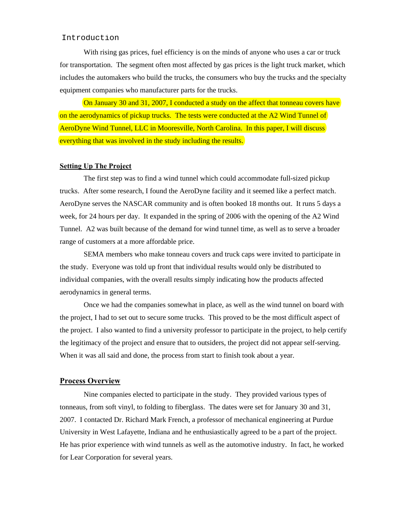# Introduction

With rising gas prices, fuel efficiency is on the minds of anyone who uses a car or truck for transportation. The segment often most affected by gas prices is the light truck market, which includes the automakers who build the trucks, the consumers who buy the trucks and the specialty equipment companies who manufacturer parts for the trucks.

 On January 30 and 31, 2007, I conducted a study on the affect that tonneau covers have on the aerodynamics of pickup trucks. The tests were conducted at the A2 Wind Tunnel of AeroDyne Wind Tunnel, LLC in Mooresville, North Carolina. In this paper, I will discuss everything that was involved in the study including the results.

#### **Setting Up The Project**

 The first step was to find a wind tunnel which could accommodate full-sized pickup trucks. After some research, I found the AeroDyne facility and it seemed like a perfect match. AeroDyne serves the NASCAR community and is often booked 18 months out. It runs 5 days a week, for 24 hours per day. It expanded in the spring of 2006 with the opening of the A2 Wind Tunnel. A2 was built because of the demand for wind tunnel time, as well as to serve a broader range of customers at a more affordable price.

 SEMA members who make tonneau covers and truck caps were invited to participate in the study. Everyone was told up front that individual results would only be distributed to individual companies, with the overall results simply indicating how the products affected aerodynamics in general terms.

 Once we had the companies somewhat in place, as well as the wind tunnel on board with the project, I had to set out to secure some trucks. This proved to be the most difficult aspect of the project. I also wanted to find a university professor to participate in the project, to help certify the legitimacy of the project and ensure that to outsiders, the project did not appear self-serving. When it was all said and done, the process from start to finish took about a year.

#### **Process Overview**

 Nine companies elected to participate in the study. They provided various types of tonneaus, from soft vinyl, to folding to fiberglass. The dates were set for January 30 and 31, 2007. I contacted Dr. Richard Mark French, a professor of mechanical engineering at Purdue University in West Lafayette, Indiana and he enthusiastically agreed to be a part of the project. He has prior experience with wind tunnels as well as the automotive industry. In fact, he worked for Lear Corporation for several years.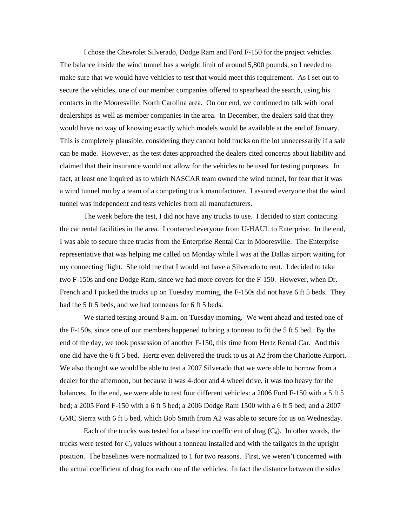I chose the Chevrolet Silverado, Dodge Ram and Ford F-150 for the project vehicles. The balance inside the wind tunnel has a weight limit of around 5,800 pounds, so I needed to make sure that we would have vehicles to test that would meet this requirement. As I set out to secure the vehicles, one of our member companies offered to spearhead the search, using his contacts in the Mooresville, North Carolina area. On our end, we continued to talk with local dealerships as well as member companies in the area. In December, the dealers said that they would have no way of knowing exactly which models would be available at the end of January. This is completely plausible, considering they cannot hold trucks on the lot unnecessarily if a sale can be made. However, as the test dates approached the dealers cited concerns about liability and claimed that their insurance would not allow for the vehicles to be used for testing purposes. In fact, at least one inquired as to which NASCAR team owned the wind tunnel, for fear that it was a wind tunnel run by a team of a competing truck manufacturer. I assured everyone that the wind tunnel was independent and tests vehicles from all manufacturers.

 The week before the test, I did not have any trucks to use. I decided to start contacting the car rental facilities in the area. I contacted everyone from U-HAUL to Enterprise. In the end, I was able to secure three trucks from the Enterprise Rental Car in Mooresville. The Enterprise representative that was helping me called on Monday while I was at the Dallas airport waiting for my connecting flight. She told me that I would not have a Silverado to rent. I decided to take two F-150s and one Dodge Ram, since we had more covers for the F-150. However, when Dr. French and I picked the trucks up on Tuesday morning, the F-150s did not have 6 ft 5 beds. They had the 5 ft 5 beds, and we had tonneaus for 6 ft 5 beds.

We started testing around 8 a.m. on Tuesday morning. We went ahead and tested one of the F-150s, since one of our members happened to bring a tonneau to fit the 5 ft 5 bed. By the end of the day, we took possession of another F-150, this time from Hertz Rental Car. And this one did have the 6 ft 5 bed. Hertz even delivered the truck to us at A2 from the Charlotte Airport. We also thought we would be able to test a 2007 Silverado that we were able to borrow from a dealer for the afternoon, but because it was 4-door and 4 wheel drive, it was too heavy for the balances. In the end, we were able to test four different vehicles: a 2006 Ford F-150 with a 5 ft 5 bed; a 2005 Ford F-150 with a 6 ft 5 bed; a 2006 Dodge Ram 1500 with a 6 ft 5 bed; and a 2007 GMC Sierra with 6 ft 5 bed, which Bob Smith from A2 was able to secure for us on Wednesday.

Each of the trucks was tested for a baseline coefficient of drag  $(C_d)$ . In other words, the trucks were tested for  $C_d$  values without a tonneau installed and with the tailgates in the upright position. The baselines were normalized to 1 for two reasons. First, we weren't concerned with the actual coefficient of drag for each one of the vehicles. In fact the distance between the sides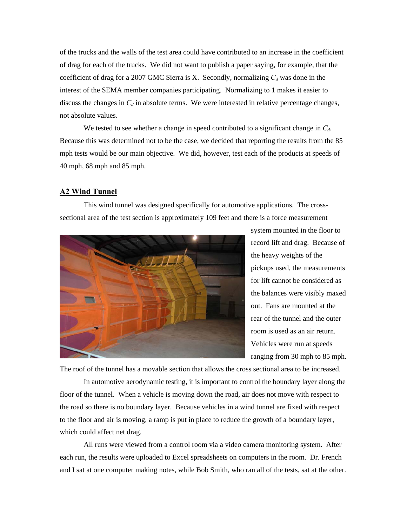of the trucks and the walls of the test area could have contributed to an increase in the coefficient of drag for each of the trucks. We did not want to publish a paper saying, for example, that the coefficient of drag for a 2007 GMC Sierra is X. Secondly, normalizing  $C_d$  was done in the interest of the SEMA member companies participating. Normalizing to 1 makes it easier to discuss the changes in  $C_d$  in absolute terms. We were interested in relative percentage changes, not absolute values.

We tested to see whether a change in speed contributed to a significant change in  $C_d$ . Because this was determined not to be the case, we decided that reporting the results from the 85 mph tests would be our main objective. We did, however, test each of the products at speeds of 40 mph, 68 mph and 85 mph.

## **A2 Wind Tunnel**

 This wind tunnel was designed specifically for automotive applications. The crosssectional area of the test section is approximately 109 feet and there is a force measurement



system mounted in the floor to record lift and drag. Because of the heavy weights of the pickups used, the measurements for lift cannot be considered as the balances were visibly maxed out. Fans are mounted at the rear of the tunnel and the outer room is used as an air return. Vehicles were run at speeds ranging from 30 mph to 85 mph.

The roof of the tunnel has a movable section that allows the cross sectional area to be increased.

 In automotive aerodynamic testing, it is important to control the boundary layer along the floor of the tunnel. When a vehicle is moving down the road, air does not move with respect to the road so there is no boundary layer. Because vehicles in a wind tunnel are fixed with respect to the floor and air is moving, a ramp is put in place to reduce the growth of a boundary layer, which could affect net drag.

 All runs were viewed from a control room via a video camera monitoring system. After each run, the results were uploaded to Excel spreadsheets on computers in the room. Dr. French and I sat at one computer making notes, while Bob Smith, who ran all of the tests, sat at the other.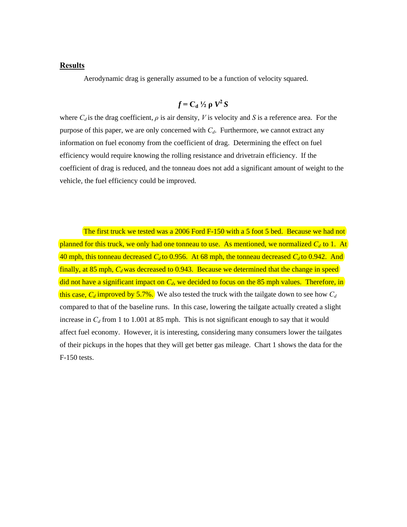# **Results**

Aerodynamic drag is generally assumed to be a function of velocity squared.

# $f = C_d \frac{1}{2} \rho \frac{V^2}{S}$

where  $C_d$  is the drag coefficient,  $\rho$  is air density, V is velocity and S is a reference area. For the purpose of this paper, we are only concerned with  $C_d$ . Furthermore, we cannot extract any information on fuel economy from the coefficient of drag. Determining the effect on fuel efficiency would require knowing the rolling resistance and drivetrain efficiency. If the coefficient of drag is reduced, and the tonneau does not add a significant amount of weight to the vehicle, the fuel efficiency could be improved.

The first truck we tested was a 2006 Ford F-150 with a 5 foot 5 bed. Because we had not planned for this truck, we only had one tonneau to use. As mentioned, we normalized  $C_d$  to 1. At 40 mph, this tonneau decreased  $C_d$  to 0.956. At 68 mph, the tonneau decreased  $C_d$  to 0.942. And finally, at 85 mph,  $C_d$  was decreased to 0.943. Because we determined that the change in speed did not have a significant impact on  $C_d$ , we decided to focus on the 85 mph values. Therefore, in this case,  $C_d$  improved by 5.7%. We also tested the truck with the tailgate down to see how  $C_d$ compared to that of the baseline runs. In this case, lowering the tailgate actually created a slight increase in  $C_d$  from 1 to 1.001 at 85 mph. This is not significant enough to say that it would affect fuel economy. However, it is interesting, considering many consumers lower the tailgates of their pickups in the hopes that they will get better gas mileage. Chart 1 shows the data for the F-150 tests.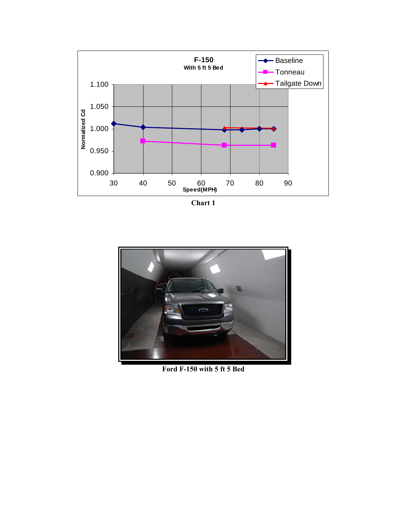

**Chart 1** 



**Ford F-150 with 5 ft 5 Bed**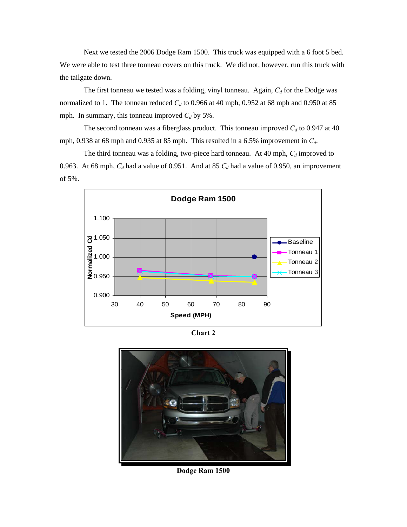Next we tested the 2006 Dodge Ram 1500. This truck was equipped with a 6 foot 5 bed. We were able to test three tonneau covers on this truck. We did not, however, run this truck with the tailgate down.

The first tonneau we tested was a folding, vinyl tonneau. Again,  $C_d$  for the Dodge was normalized to 1. The tonneau reduced  $C_d$  to 0.966 at 40 mph, 0.952 at 68 mph and 0.950 at 85 mph. In summary, this tonneau improved  $C_d$  by 5%.

The second tonneau was a fiberglass product. This tonneau improved  $C_d$  to 0.947 at 40 mph, 0.938 at 68 mph and 0.935 at 85 mph. This resulted in a 6.5% improvement in *Cd*.

The third tonneau was a folding, two-piece hard tonneau. At 40 mph,  $C_d$  improved to 0.963. At 68 mph,  $C_d$  had a value of 0.951. And at 85  $C_d$  had a value of 0.950, an improvement of 5%.



**Chart 2** 



**Dodge Ram 1500**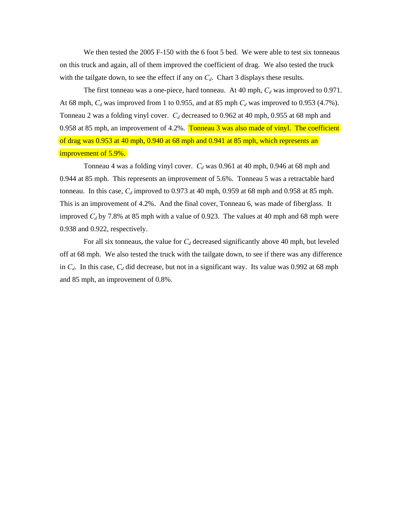We then tested the 2005 F-150 with the 6 foot 5 bed. We were able to test six tonneaus on this truck and again, all of them improved the coefficient of drag. We also tested the truck with the tailgate down, to see the effect if any on  $C_d$ . Chart 3 displays these results.

The first tonneau was a one-piece, hard tonneau. At 40 mph,  $C_d$  was improved to 0.971. At 68 mph,  $C_d$  was improved from 1 to 0.955, and at 85 mph  $C_d$  was improved to 0.953 (4.7%). Tonneau 2 was a folding vinyl cover.  $C_d$  decreased to 0.962 at 40 mph, 0.955 at 68 mph and 0.958 at 85 mph, an improvement of 4.2%. Tonneau 3 was also made of vinyl. The coefficient of drag was 0.953 at 40 mph, 0.940 at 68 mph and 0.941 at 85 mph, which represents an improvement of 5.9%.

Tonneau 4 was a folding vinyl cover.  $C_d$  was 0.961 at 40 mph, 0.946 at 68 mph and 0.944 at 85 mph. This represents an improvement of 5.6%. Tonneau 5 was a retractable hard tonneau. In this case,  $C_d$  improved to 0.973 at 40 mph, 0.959 at 68 mph and 0.958 at 85 mph. This is an improvement of 4.2%. And the final cover, Tonneau 6, was made of fiberglass. It improved  $C_d$  by 7.8% at 85 mph with a value of 0.923. The values at 40 mph and 68 mph were 0.938 and 0.922, respectively.

For all six tonneaus, the value for  $C_d$  decreased significantly above 40 mph, but leveled off at 68 mph. We also tested the truck with the tailgate down, to see if there was any difference in  $C_d$ . In this case,  $C_d$  did decrease, but not in a significant way. Its value was 0.992 at 68 mph and 85 mph, an improvement of 0.8%.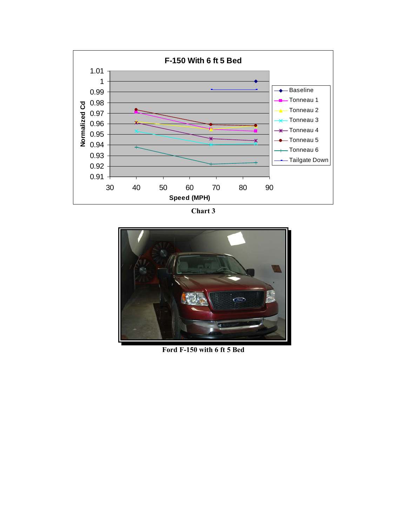

**Chart 3**



**Ford F-150 with 6 ft 5 Bed**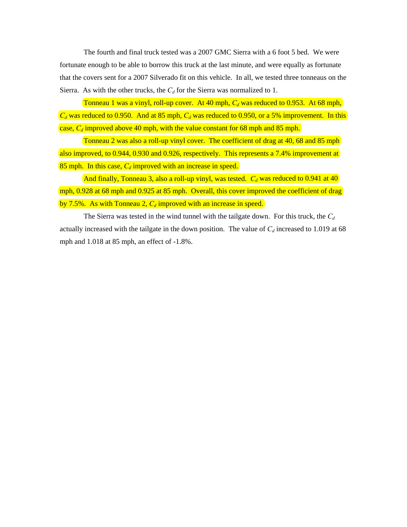The fourth and final truck tested was a 2007 GMC Sierra with a 6 foot 5 bed. We were fortunate enough to be able to borrow this truck at the last minute, and were equally as fortunate that the covers sent for a 2007 Silverado fit on this vehicle. In all, we tested three tonneaus on the Sierra. As with the other trucks, the  $C_d$  for the Sierra was normalized to 1.

Tonneau 1 was a vinyl, roll-up cover. At 40 mph,  $C_d$  was reduced to 0.953. At 68 mph,  $C_d$  was reduced to 0.950. And at 85 mph,  $C_d$  was reduced to 0.950, or a 5% improvement. In this case, *C<sub>d</sub>* improved above 40 mph, with the value constant for 68 mph and 85 mph.

 Tonneau 2 was also a roll-up vinyl cover. The coefficient of drag at 40, 68 and 85 mph also improved, to 0.944, 0.930 and 0.926, respectively. This represents a 7.4% improvement at 85 mph. In this case,  $C_d$  improved with an increase in speed.

And finally, Tonneau 3, also a roll-up vinyl, was tested.  $C_d$  was reduced to 0.941 at 40 mph, 0.928 at 68 mph and 0.925 at 85 mph. Overall, this cover improved the coefficient of drag by  $7.5\%$ . As with Tonneau 2,  $C_d$  improved with an increase in speed.

The Sierra was tested in the wind tunnel with the tailgate down. For this truck, the  $C_d$ actually increased with the tailgate in the down position. The value of  $C_d$  increased to 1.019 at 68 mph and 1.018 at 85 mph, an effect of -1.8%.